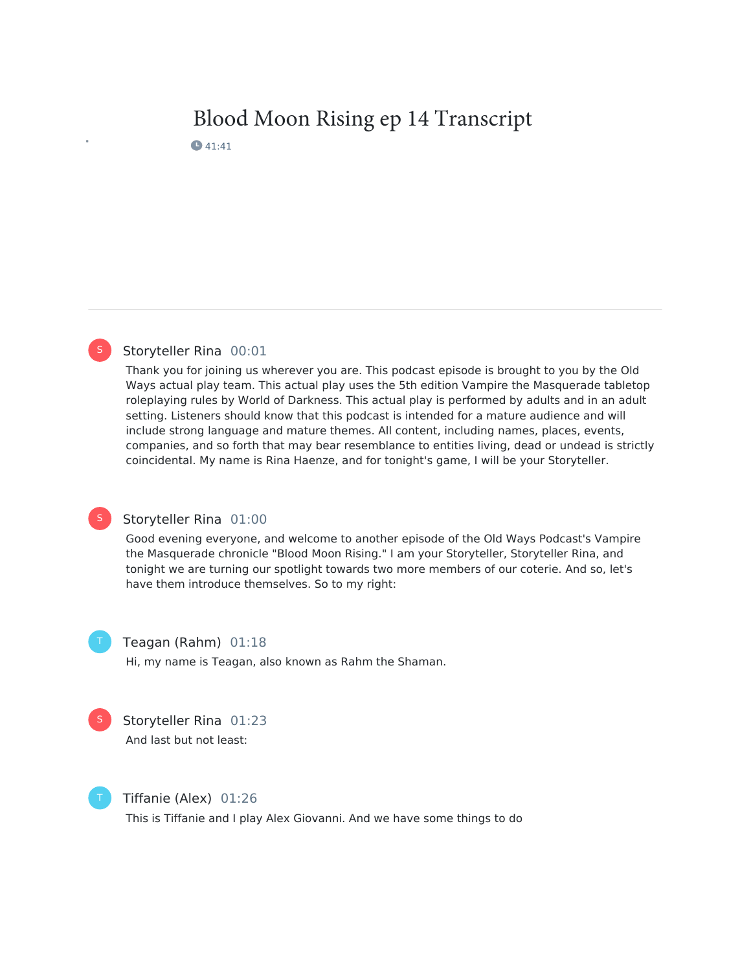# Blood Moon Rising ep 14 Transcript

**4**1:41

# Storyteller Rina 00:01

Thank you for joining us wherever you are. This podcast episode is brought to you by the Old Ways actual play team. This actual play uses the 5th edition Vampire the Masquerade tabletop roleplaying rules by World of Darkness. This actual play is performed by adults and in an adult setting. Listeners should know that this podcast is intended for a mature audience and will include strong language and mature themes. All content, including names, places, events, companies, and so forth that may bear resemblance to entities living, dead or undead is strictly coincidental. My name is Rina Haenze, and for tonight's game, I will be your Storyteller.

# S

S

# Storyteller Rina 01:00

Good evening everyone, and welcome to another episode of the Old Ways Podcast's Vampire the Masquerade chronicle "Blood Moon Rising." I am your Storyteller, Storyteller Rina, and tonight we are turning our spotlight towards two more members of our coterie. And so, let's have them introduce themselves. So to my right:

# Teagan (Rahm) 01:18

Hi, my name is Teagan, also known as Rahm the Shaman.



Storyteller Rina 01:23 And last but not least:



Tiffanie (Alex) 01:26

This is Tiffanie and I play Alex Giovanni. And we have some things to do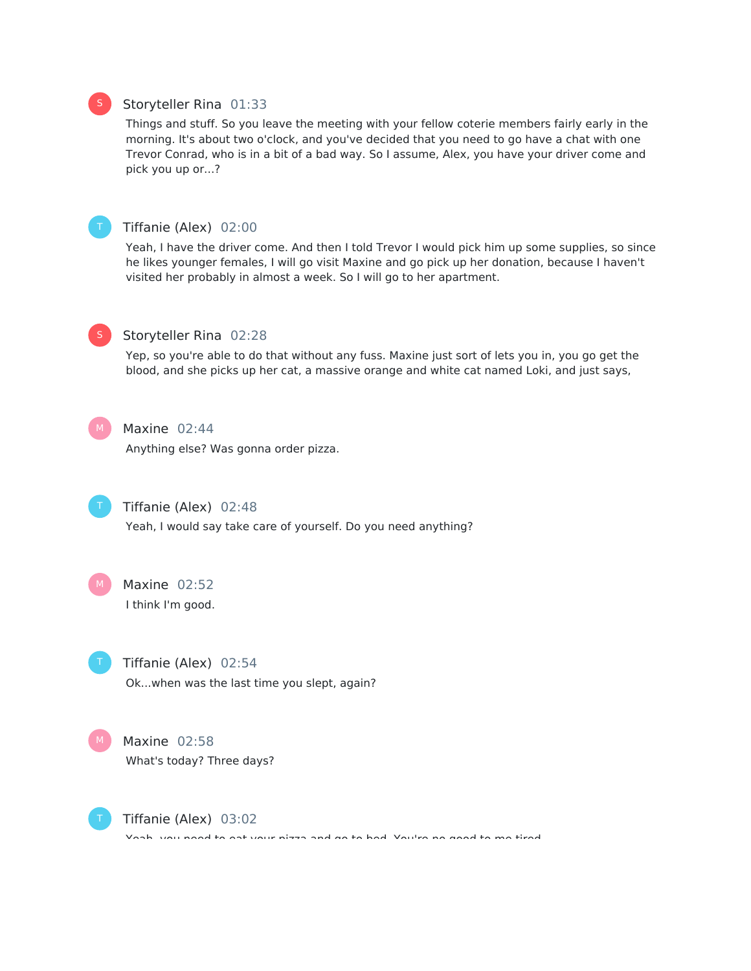# Storyteller Rina 01:33

Things and stuff. So you leave the meeting with your fellow coterie members fairly early in the morning. It's about two o'clock, and you've decided that you need to go have a chat with one Trevor Conrad, who is in a bit of a bad way. So I assume, Alex, you have your driver come and pick you up or...?



# Tiffanie (Alex) 02:00

Yeah, I have the driver come. And then I told Trevor I would pick him up some supplies, so since he likes younger females, I will go visit Maxine and go pick up her donation, because I haven't visited her probably in almost a week. So I will go to her apartment.



S

#### Storyteller Rina 02:28

Yep, so you're able to do that without any fuss. Maxine just sort of lets you in, you go get the blood, and she picks up her cat, a massive orange and white cat named Loki, and just says,



# Maxine 02:44

Anything else? Was gonna order pizza.



# Tiffanie (Alex) 02:48

Yeah, I would say take care of yourself. Do you need anything?

Maxine 02:52 I think I'm good.  $M<sub>1</sub>$ 

Tiffanie (Alex) 02:54 Ok...when was the last time you slept, again?

Maxine 02:58 What's today? Three days?  $M_{\odot}$ 



Tiffanie (Alex) 03:02

Yeah, you need to eat your pizza and go to bed. You're no good to me tired.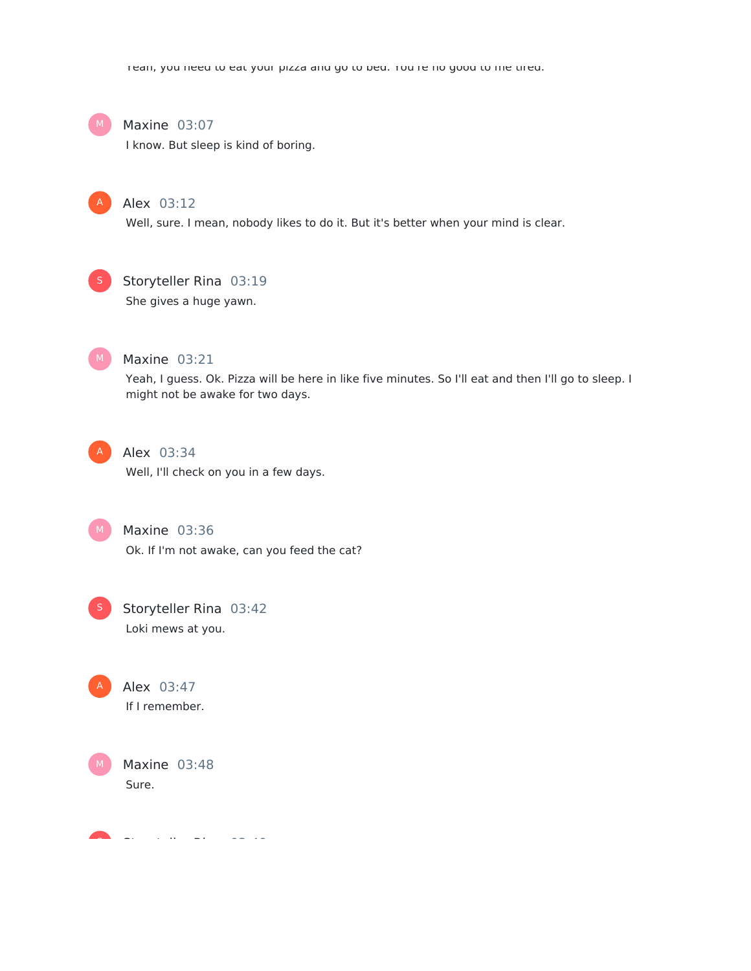Yeah, you need to eat your pizza and go to bed. You're no good to me tired.



### Maxine 03:07

I know. But sleep is kind of boring.



# Alex 03:12

Well, sure. I mean, nobody likes to do it. But it's better when your mind is clear.



# Storyteller Rina 03:19

She gives a huge yawn.



# Maxine 03:21

Yeah, I guess. Ok. Pizza will be here in like five minutes. So I'll eat and then I'll go to sleep. I might not be awake for two days.



# Alex 03:34

Well, I'll check on you in a few days.



Maxine 03:36 Ok. If I'm not awake, can you feed the cat?



# Storyteller Rina 03:42 Loki mews at you.

Alex 03:47 A

If I remember.



Storyteller Rina 03:49 S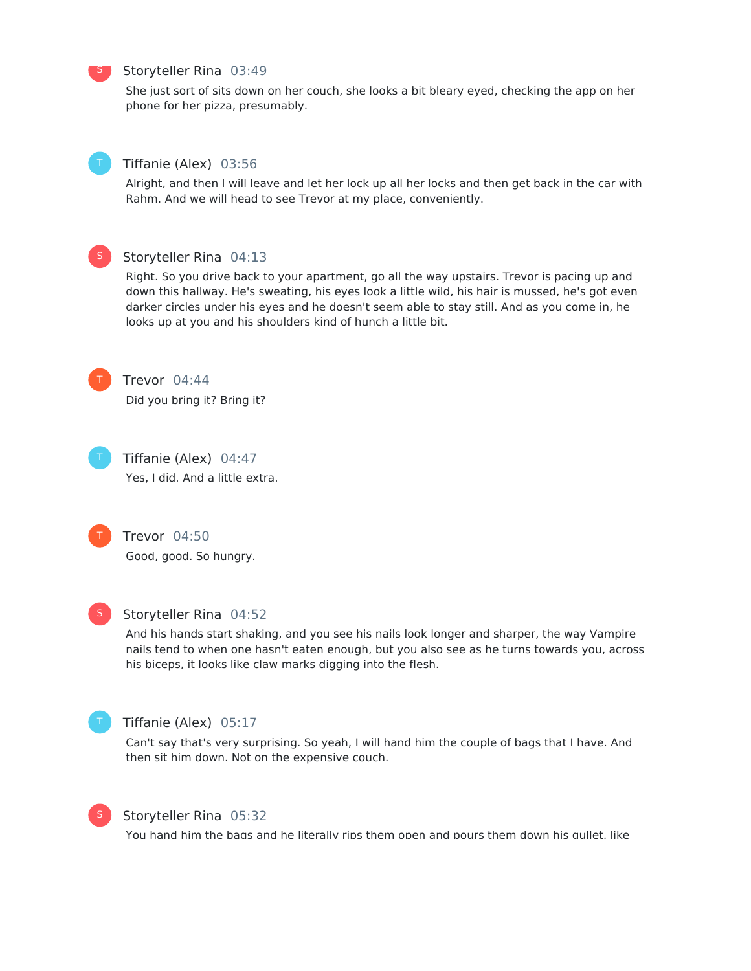

#### Storyteller Rina 03:49

She just sort of sits down on her couch, she looks a bit bleary eyed, checking the app on her phone for her pizza, presumably.



#### Tiffanie (Alex) 03:56

Alright, and then I will leave and let her lock up all her locks and then get back in the car with Rahm. And we will head to see Trevor at my place, conveniently.



# Storyteller Rina 04:13

Right. So you drive back to your apartment, go all the way upstairs. Trevor is pacing up and down this hallway. He's sweating, his eyes look a little wild, his hair is mussed, he's got even darker circles under his eyes and he doesn't seem able to stay still. And as you come in, he looks up at you and his shoulders kind of hunch a little bit.



Trevor 04:44 Did you bring it? Bring it?



Tiffanie (Alex) 04:47 Yes, I did. And a little extra.



Trevor 04:50 Good, good. So hungry.



#### Storyteller Rina 04:52

And his hands start shaking, and you see his nails look longer and sharper, the way Vampire nails tend to when one hasn't eaten enough, but you also see as he turns towards you, across his biceps, it looks like claw marks digging into the flesh.



# Tiffanie (Alex) 05:17

Can't say that's very surprising. So yeah, I will hand him the couple of bags that I have. And then sit him down. Not on the expensive couch.



# Storyteller Rina 05:32

You hand him the bags and he literally rips them open and pours them down his gullet, like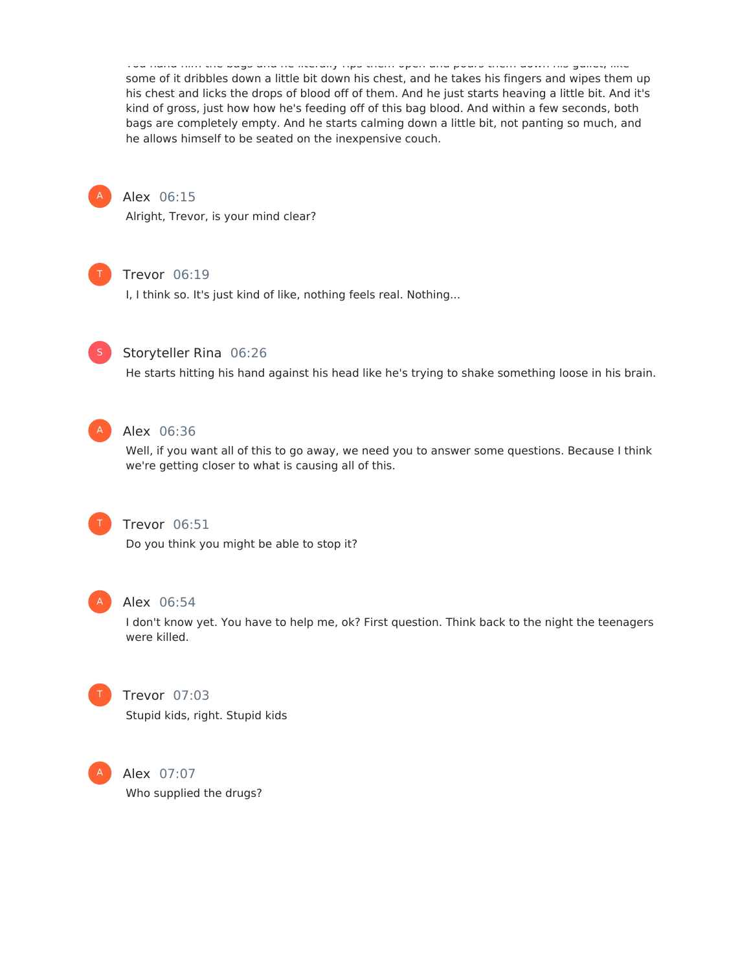You hand him the bags and he literally rips them open and pours them down his gullet, like some of it dribbles down a little bit down his chest, and he takes his fingers and wipes them up his chest and licks the drops of blood off of them. And he just starts heaving a little bit. And it's kind of gross, just how how he's feeding off of this bag blood. And within a few seconds, both bags are completely empty. And he starts calming down a little bit, not panting so much, and he allows himself to be seated on the inexpensive couch.



# Alex 06:15

Alright, Trevor, is your mind clear?



#### Trevor 06:19

I, I think so. It's just kind of like, nothing feels real. Nothing...



# Storyteller Rina 06:26

He starts hitting his hand against his head like he's trying to shake something loose in his brain.



# Alex 06:36

Well, if you want all of this to go away, we need you to answer some questions. Because I think we're getting closer to what is causing all of this.



# Trevor 06:51

Do you think you might be able to stop it?



#### Alex 06:54

I don't know yet. You have to help me, ok? First question. Think back to the night the teenagers were killed.



# Trevor 07:03 Stupid kids, right. Stupid kids



Alex 07:07 Who supplied the drugs?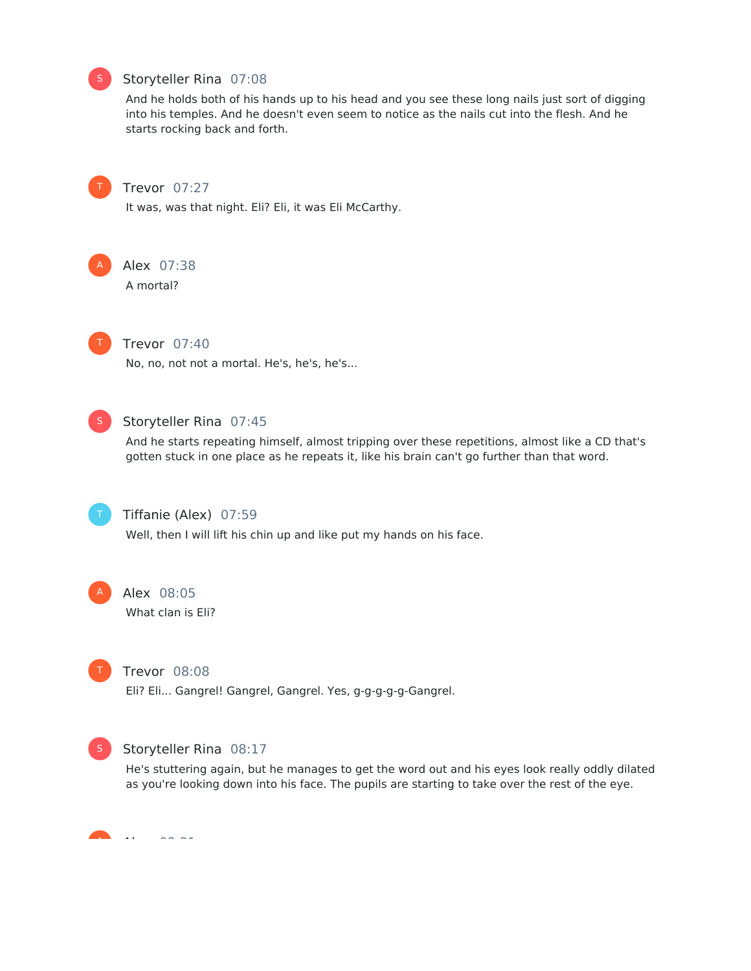

# Storyteller Rina 07:08

And he holds both of his hands up to his head and you see these long nails just sort of digging into his temples. And he doesn't even seem to notice as the nails cut into the flesh. And he starts rocking back and forth.



#### Trevor 07:27

It was, was that night. Eli? Eli, it was Eli McCarthy.



# Alex 07:38

A mortal?



#### Trevor 07:40

No, no, not not a mortal. He's, he's, he's...



# Storyteller Rina 07:45

And he starts repeating himself, almost tripping over these repetitions, almost like a CD that's gotten stuck in one place as he repeats it, like his brain can't go further than that word.



# Tiffanie (Alex) 07:59

Well, then I will lift his chin up and like put my hands on his face.



# Alex 08:05

What clan is Eli?



#### Trevor 08:08

Eli? Eli... Gangrel! Gangrel, Gangrel. Yes, g-g-g-g-g-Gangrel.



#### Storyteller Rina 08:17

He's stuttering again, but he manages to get the word out and his eyes look really oddly dilated as you're looking down into his face. The pupils are starting to take over the rest of the eye.

 $\ddot{\phantom{1}}$ A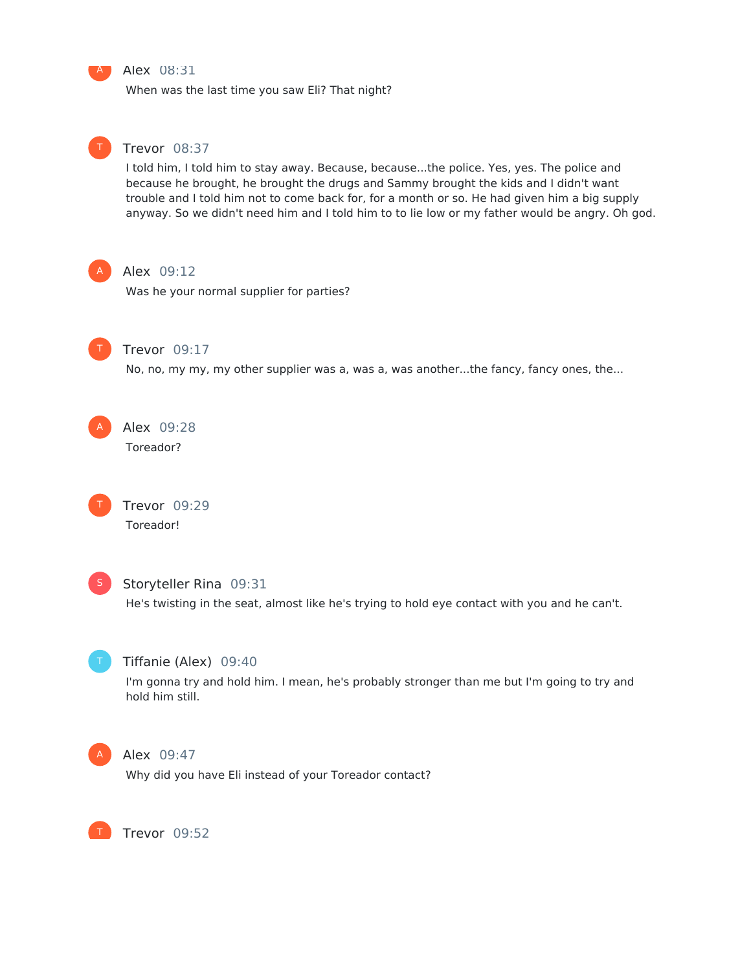

#### Alex 08:31

When was the last time you saw Eli? That night?



#### Trevor 08:37

I told him, I told him to stay away. Because, because...the police. Yes, yes. The police and because he brought, he brought the drugs and Sammy brought the kids and I didn't want trouble and I told him not to come back for, for a month or so. He had given him a big supply anyway. So we didn't need him and I told him to to lie low or my father would be angry. Oh god.



#### Alex 09:12

Was he your normal supplier for parties?



#### Trevor 09:17

No, no, my my, my other supplier was a, was a, was another...the fancy, fancy ones, the...

Alex 09:28 Toreador? A

> Trevor 09:29 Toreador!



T

# Storyteller Rina 09:31

He's twisting in the seat, almost like he's trying to hold eye contact with you and he can't.



# Tiffanie (Alex) 09:40

I'm gonna try and hold him. I mean, he's probably stronger than me but I'm going to try and hold him still.



T

#### Alex 09:47

Why did you have Eli instead of your Toreador contact?

Trevor 09:52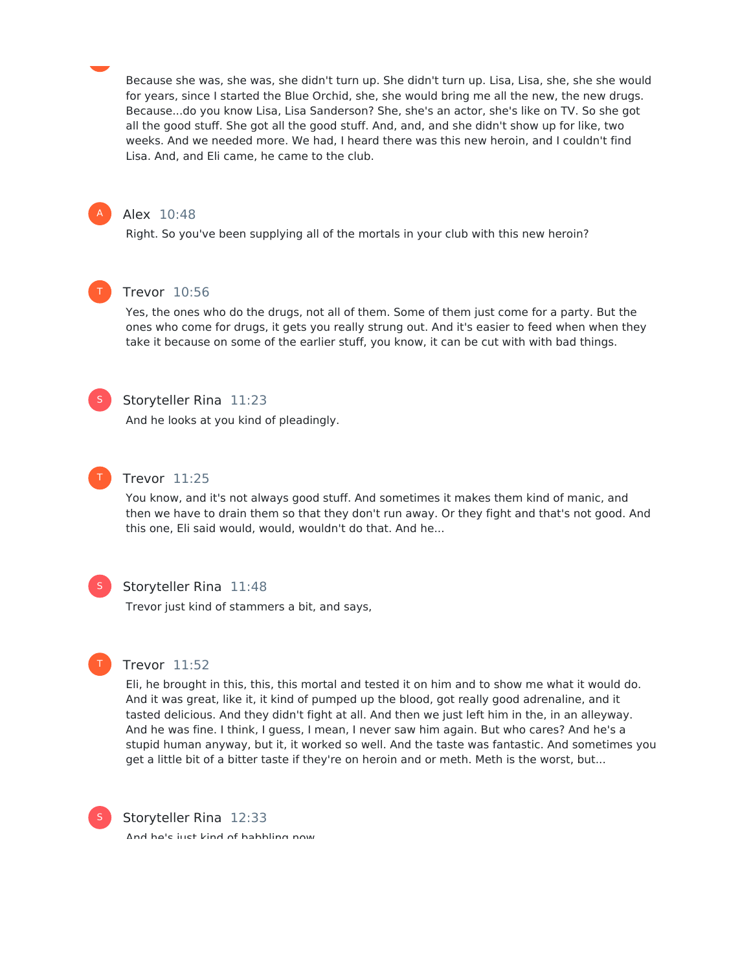Because she was, she was, she didn't turn up. She didn't turn up. Lisa, Lisa, she, she she would for years, since I started the Blue Orchid, she, she would bring me all the new, the new drugs. Because...do you know Lisa, Lisa Sanderson? She, she's an actor, she's like on TV. So she got all the good stuff. She got all the good stuff. And, and, and she didn't show up for like, two weeks. And we needed more. We had, I heard there was this new heroin, and I couldn't find Lisa. And, and Eli came, he came to the club.



#### Alex 10:48

Right. So you've been supplying all of the mortals in your club with this new heroin?



# Trevor 10:56

Yes, the ones who do the drugs, not all of them. Some of them just come for a party. But the ones who come for drugs, it gets you really strung out. And it's easier to feed when when they take it because on some of the earlier stuff, you know, it can be cut with with bad things.



#### Storyteller Rina 11:23

And he looks at you kind of pleadingly.



# Trevor 11:25

You know, and it's not always good stuff. And sometimes it makes them kind of manic, and then we have to drain them so that they don't run away. Or they fight and that's not good. And this one, Eli said would, would, wouldn't do that. And he...



T

#### Storyteller Rina 11:48

Trevor just kind of stammers a bit, and says,



Eli, he brought in this, this, this mortal and tested it on him and to show me what it would do. And it was great, like it, it kind of pumped up the blood, got really good adrenaline, and it tasted delicious. And they didn't fight at all. And then we just left him in the, in an alleyway. And he was fine. I think, I guess, I mean, I never saw him again. But who cares? And he's a stupid human anyway, but it, it worked so well. And the taste was fantastic. And sometimes you get a little bit of a bitter taste if they're on heroin and or meth. Meth is the worst, but...



Storyteller Rina 12:33

And hale just kind of hahhling now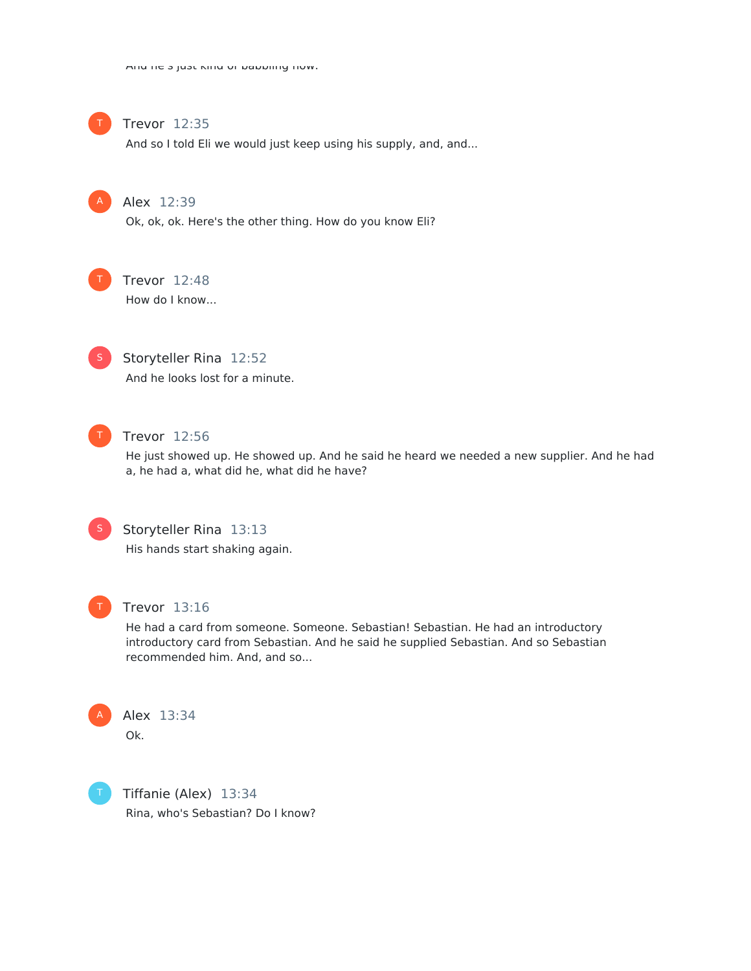

# Trevor 12:35

And so I told Eli we would just keep using his supply, and, and...



Alex 12:39

Ok, ok, ok. Here's the other thing. How do you know Eli?



# Trevor 12:48

How do I know...



Storyteller Rina 12:52 And he looks lost for a minute.



# Trevor 12:56

He just showed up. He showed up. And he said he heard we needed a new supplier. And he had a, he had a, what did he, what did he have?



Storyteller Rina 13:13

His hands start shaking again.



## Trevor 13:16

He had a card from someone. Someone. Sebastian! Sebastian. He had an introductory introductory card from Sebastian. And he said he supplied Sebastian. And so Sebastian recommended him. And, and so...



T

Alex 13:34 Ok.

Tiffanie (Alex) 13:34 Rina, who's Sebastian? Do I know?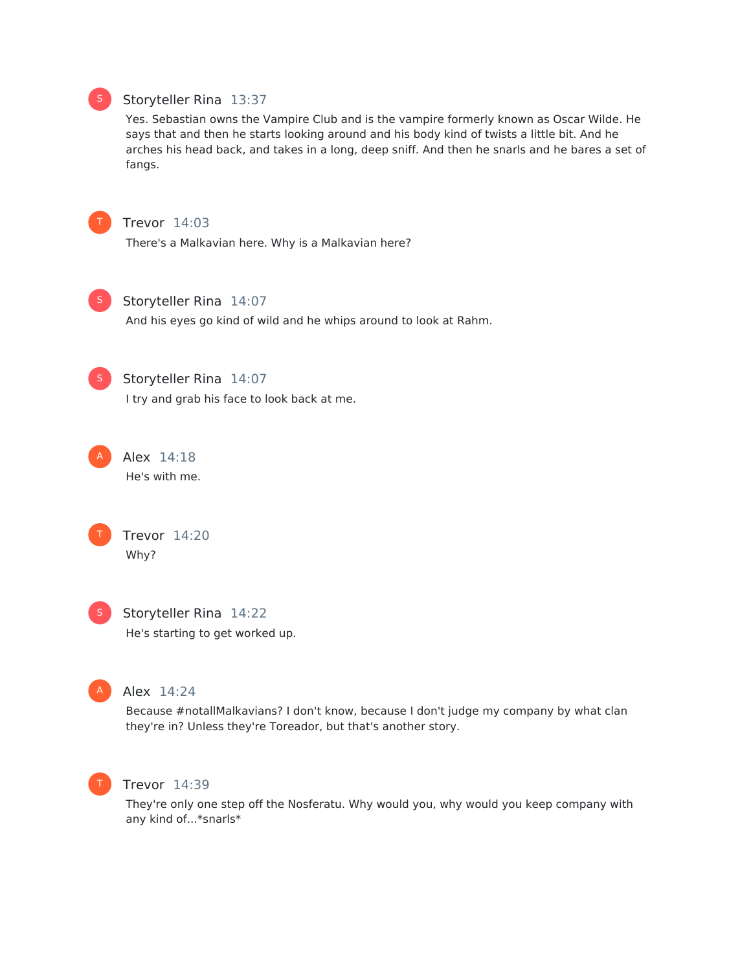# Storyteller Rina 13:37

Yes. Sebastian owns the Vampire Club and is the vampire formerly known as Oscar Wilde. He says that and then he starts looking around and his body kind of twists a little bit. And he arches his head back, and takes in a long, deep sniff. And then he snarls and he bares a set of fangs.



S

# Trevor 14:03

There's a Malkavian here. Why is a Malkavian here?



Storyteller Rina 14:07

And his eyes go kind of wild and he whips around to look at Rahm.



# Storyteller Rina 14:07

I try and grab his face to look back at me.



He's with me.





Storyteller Rina 14:22 He's starting to get worked up.



#### Alex 14:24

Because #notallMalkavians? I don't know, because I don't judge my company by what clan they're in? Unless they're Toreador, but that's another story.



# Trevor 14:39

They're only one step off the Nosferatu. Why would you, why would you keep company with any kind of...\*snarls\*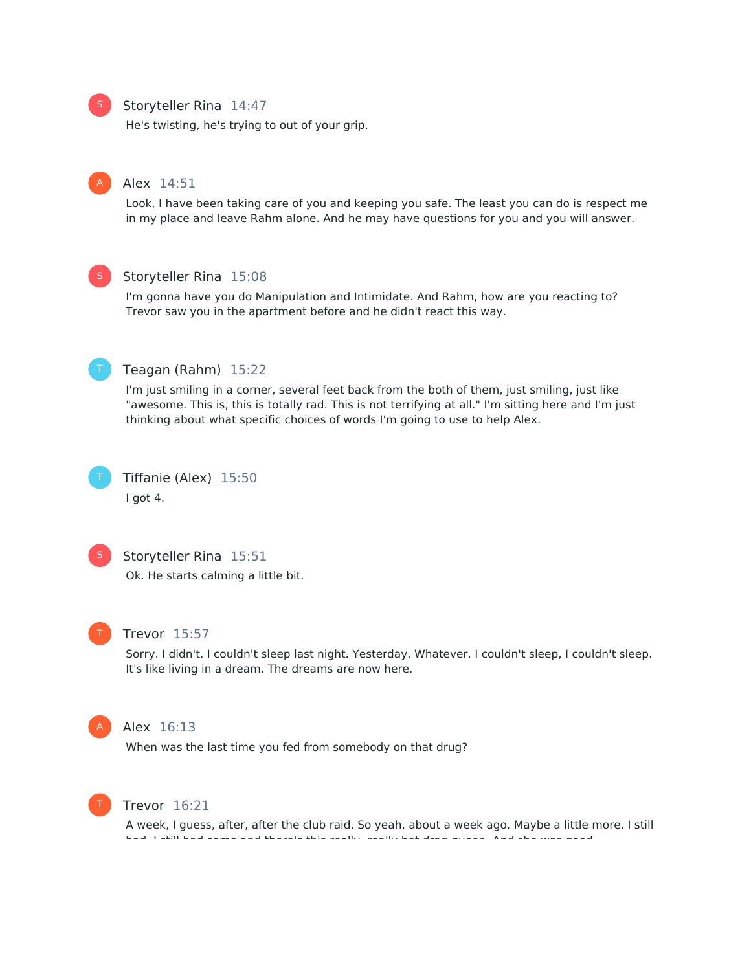#### Storyteller Rina 14:47

He's twisting, he's trying to out of your grip.

#### Alex 14:51

Look, I have been taking care of you and keeping you safe. The least you can do is respect me in my place and leave Rahm alone. And he may have questions for you and you will answer.



#### Storyteller Rina 15:08

I'm gonna have you do Manipulation and Intimidate. And Rahm, how are you reacting to? Trevor saw you in the apartment before and he didn't react this way.



#### Teagan (Rahm) 15:22

I'm just smiling in a corner, several feet back from the both of them, just smiling, just like "awesome. This is, this is totally rad. This is not terrifying at all." I'm sitting here and I'm just thinking about what specific choices of words I'm going to use to help Alex.



Tiffanie (Alex) 15:50 I got 4.



#### Storyteller Rina 15:51

Ok. He starts calming a little bit.



#### Trevor 15:57

Sorry. I didn't. I couldn't sleep last night. Yesterday. Whatever. I couldn't sleep, I couldn't sleep. It's like living in a dream. The dreams are now here.



#### Alex 16:13

When was the last time you fed from somebody on that drug?



#### Trevor 16:21

A week, I guess, after, after the club raid. So yeah, about a week ago. Maybe a little more. I still had, I still had some and there's this really, really hot drag queen. And she was good.



A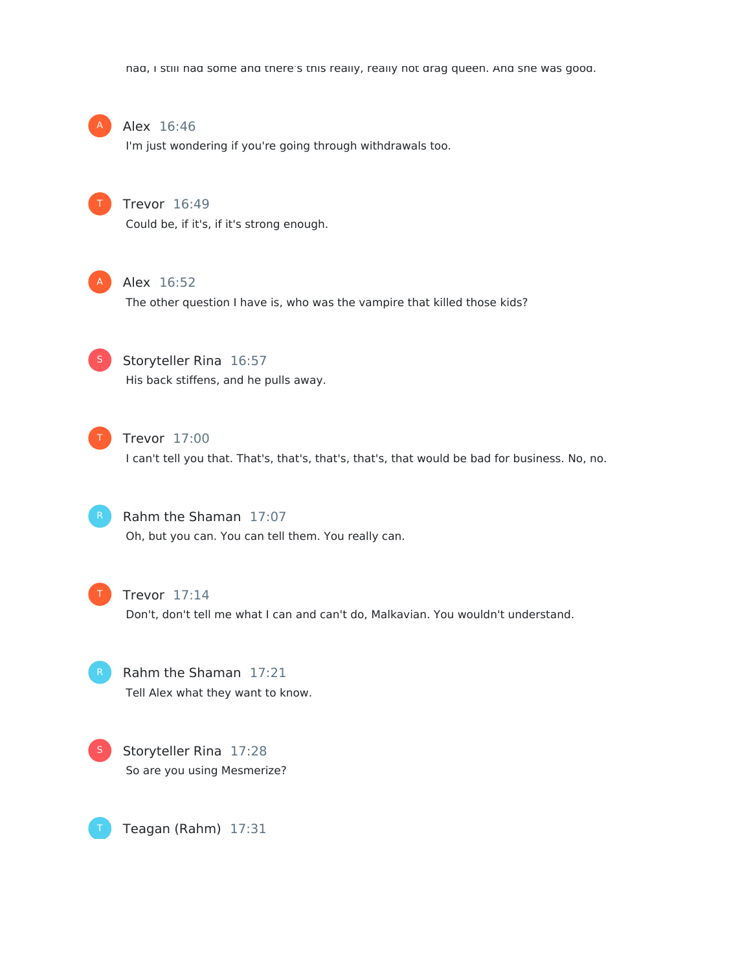had, I still had some and there's this really, really hot drag queen. And she was good.



#### Alex 16:46

I'm just wondering if you're going through withdrawals too.



# Trevor 16:49

Could be, if it's, if it's strong enough.



#### Alex 16:52

The other question I have is, who was the vampire that killed those kids?



# Storyteller Rina 16:57

His back stiffens, and he pulls away.



# Trevor 17:00

I can't tell you that. That's, that's, that's, that's, that would be bad for business. No, no.



# Rahm the Shaman 17:07

Oh, but you can. You can tell them. You really can.



#### Trevor 17:14

Don't, don't tell me what I can and can't do, Malkavian. You wouldn't understand.

Rahm the Shaman 17:21 Tell Alex what they want to know.





Teagan (Rahm) 17:31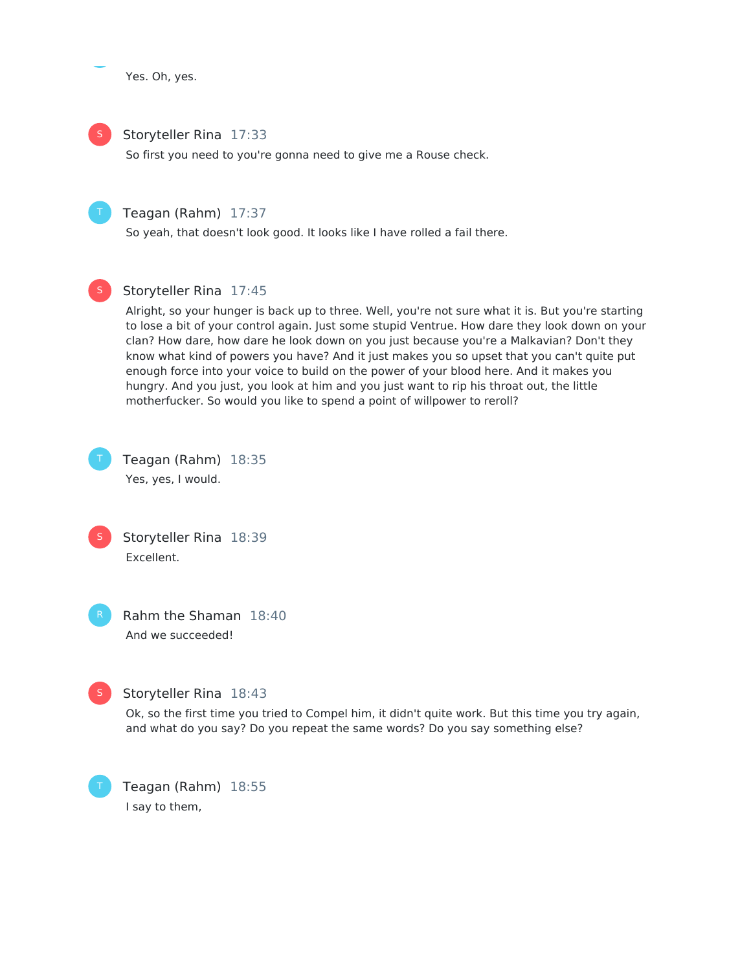Yes. Oh, yes.



S

# Storyteller Rina 17:33

So first you need to you're gonna need to give me a Rouse check.



So yeah, that doesn't look good. It looks like I have rolled a fail there.



# Storyteller Rina 17:45

Alright, so your hunger is back up to three. Well, you're not sure what it is. But you're starting to lose a bit of your control again. Just some stupid Ventrue. How dare they look down on your clan? How dare, how dare he look down on you just because you're a Malkavian? Don't they know what kind of powers you have? And it just makes you so upset that you can't quite put enough force into your voice to build on the power of your blood here. And it makes you hungry. And you just, you look at him and you just want to rip his throat out, the little motherfucker. So would you like to spend a point of willpower to reroll?



Teagan (Rahm) 18:35

Yes, yes, I would.



Rahm the Shaman 18:40 And we succeeded!



T

# Storyteller Rina 18:43

Ok, so the first time you tried to Compel him, it didn't quite work. But this time you try again, and what do you say? Do you repeat the same words? Do you say something else?

Teagan (Rahm) 18:55 I say to them,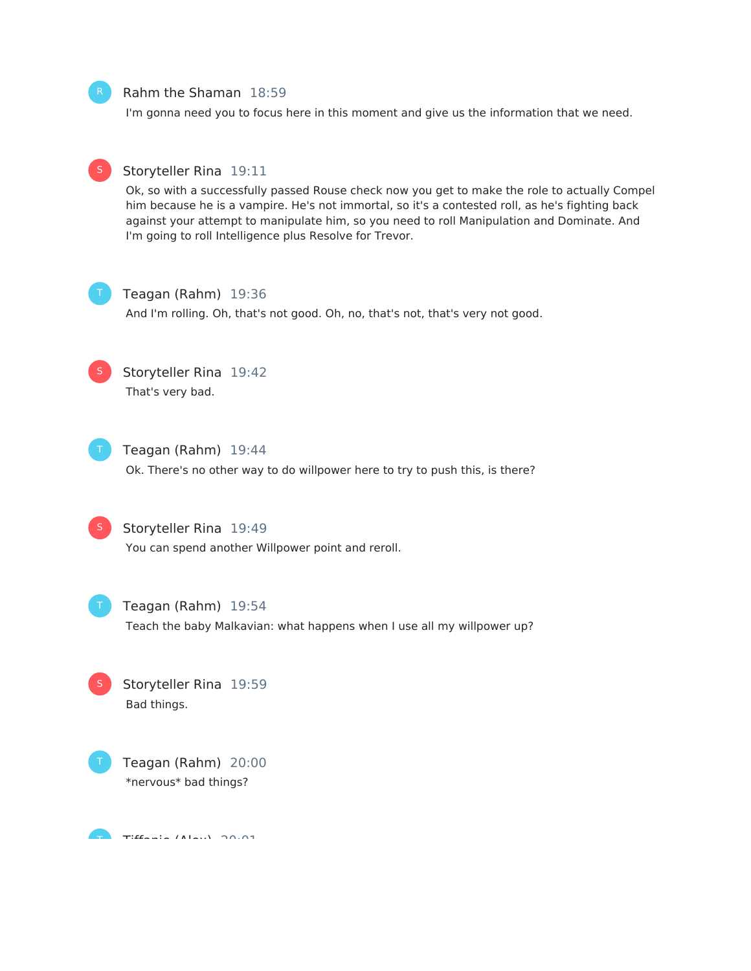#### Rahm the Shaman 18:59

I'm gonna need you to focus here in this moment and give us the information that we need.



# Storyteller Rina 19:11

Ok, so with a successfully passed Rouse check now you get to make the role to actually Compel him because he is a vampire. He's not immortal, so it's a contested roll, as he's fighting back against your attempt to manipulate him, so you need to roll Manipulation and Dominate. And I'm going to roll Intelligence plus Resolve for Trevor.



#### Teagan (Rahm) 19:36

And I'm rolling. Oh, that's not good. Oh, no, that's not, that's very not good.



# Storyteller Rina 19:42 That's very bad.



Teagan (Rahm) 19:44

Ok. There's no other way to do willpower here to try to push this, is there?



## Storyteller Rina 19:49

You can spend another Willpower point and reroll.



## Teagan (Rahm) 19:54

Teach the baby Malkavian: what happens when I use all my willpower up?





 $T$ Tiff $f$ alex) 20:01 T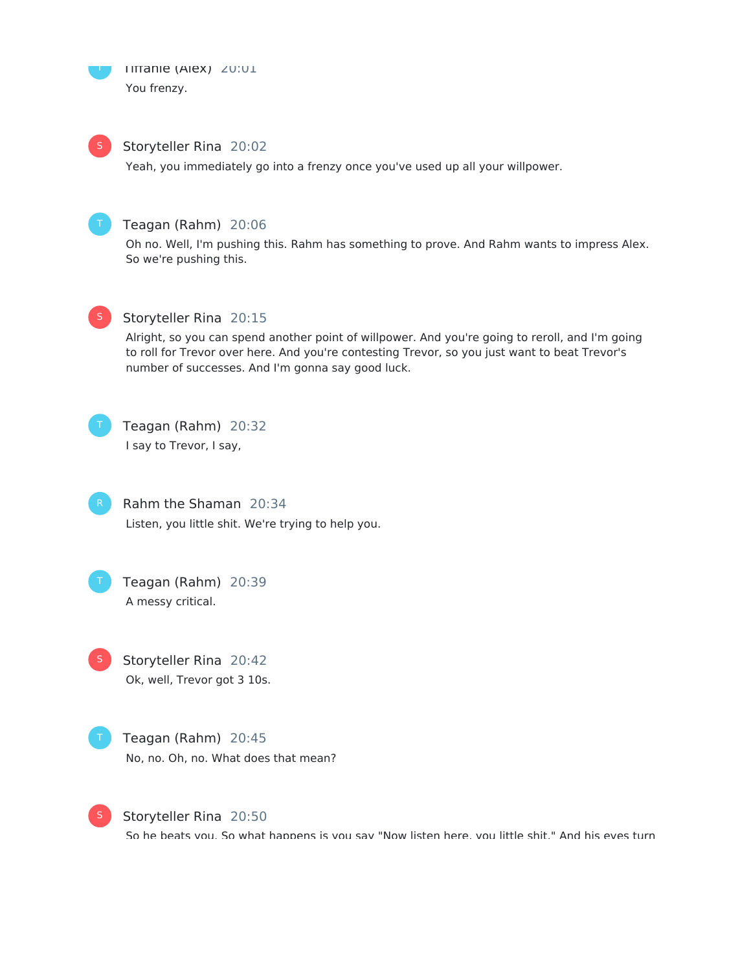

S

## Storyteller Rina 20:02

Yeah, you immediately go into a frenzy once you've used up all your willpower.



# Teagan (Rahm) 20:06

Oh no. Well, I'm pushing this. Rahm has something to prove. And Rahm wants to impress Alex. So we're pushing this.



# Storyteller Rina 20:15

Alright, so you can spend another point of willpower. And you're going to reroll, and I'm going to roll for Trevor over here. And you're contesting Trevor, so you just want to beat Trevor's number of successes. And I'm gonna say good luck.



# Teagan (Rahm) 20:32

I say to Trevor, I say,

Rahm the Shaman 20:34 Listen, you little shit. We're trying to help you.

Teagan (Rahm) 20:39 A messy critical.

Storyteller Rina 20:42 Ok, well, Trevor got 3 10s. S

Teagan (Rahm) 20:45 No, no. Oh, no. What does that mean?



Storyteller Rina 20:50

So he beats you. So what hannens is you say "Now listen here, you little shit." And his eyes turn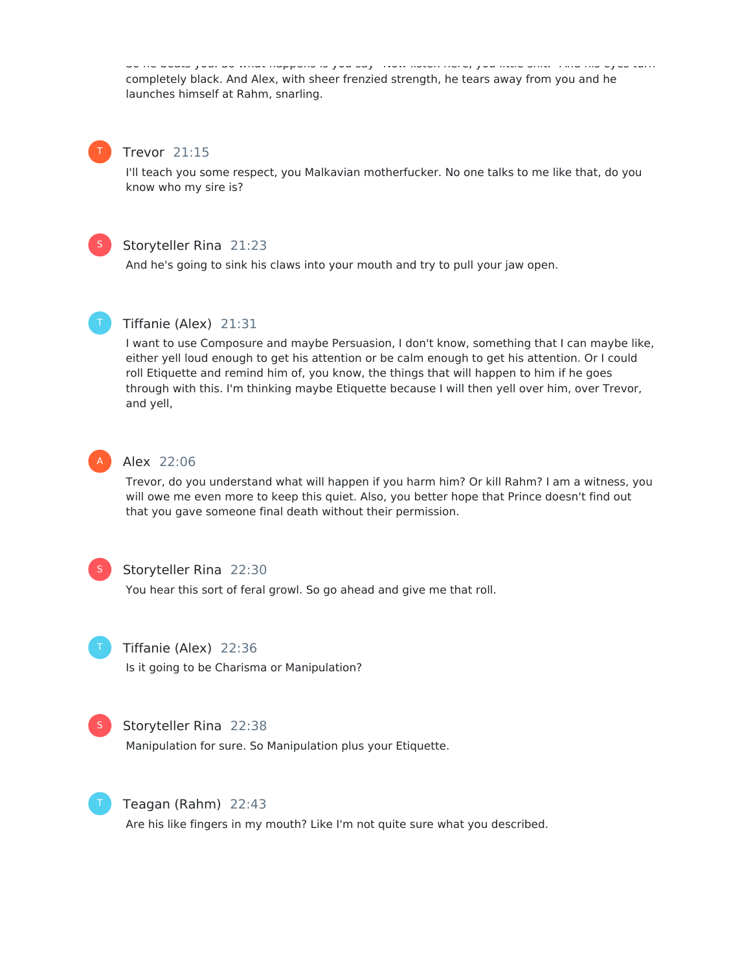So he beats you. So what happens is you say "Now listen here, you little shit." And his eyes turn completely black. And Alex, with sheer frenzied strength, he tears away from you and he launches himself at Rahm, snarling.



#### Trevor 21:15

I'll teach you some respect, you Malkavian motherfucker. No one talks to me like that, do you know who my sire is?



# Storyteller Rina 21:23

And he's going to sink his claws into your mouth and try to pull your jaw open.



# Tiffanie (Alex) 21:31

I want to use Composure and maybe Persuasion, I don't know, something that I can maybe like, either yell loud enough to get his attention or be calm enough to get his attention. Or I could roll Etiquette and remind him of, you know, the things that will happen to him if he goes through with this. I'm thinking maybe Etiquette because I will then yell over him, over Trevor, and yell,



#### Alex 22:06

Trevor, do you understand what will happen if you harm him? Or kill Rahm? I am a witness, you will owe me even more to keep this quiet. Also, you better hope that Prince doesn't find out that you gave someone final death without their permission.



#### Storyteller Rina 22:30

You hear this sort of feral growl. So go ahead and give me that roll.



# Tiffanie (Alex) 22:36

Is it going to be Charisma or Manipulation?



#### Storyteller Rina 22:38

Manipulation for sure. So Manipulation plus your Etiquette.



## Teagan (Rahm) 22:43

Are his like fingers in my mouth? Like I'm not quite sure what you described.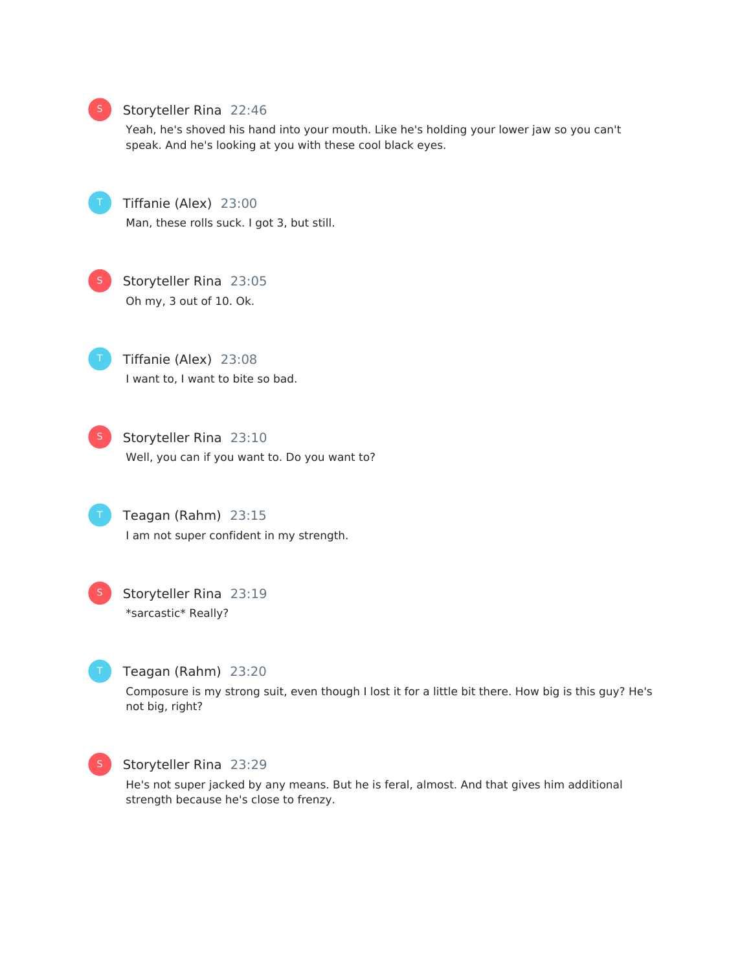

#### Storyteller Rina 22:46

Yeah, he's shoved his hand into your mouth. Like he's holding your lower jaw so you can't speak. And he's looking at you with these cool black eyes.

Tiffanie (Alex) 23:00 Man, these rolls suck. I got 3, but still.



Storyteller Rina 23:05 Oh my, 3 out of 10. Ok.

Tiffanie (Alex) 23:08 I want to, I want to bite so bad.



Storyteller Rina 23:10 Well, you can if you want to. Do you want to?

Teagan (Rahm) 23:15 I am not super confident in my strength.



Storyteller Rina 23:19 \*sarcastic\* Really?



#### Teagan (Rahm) 23:20

Composure is my strong suit, even though I lost it for a little bit there. How big is this guy? He's not big, right?



#### Storyteller Rina 23:29

He's not super jacked by any means. But he is feral, almost. And that gives him additional strength because he's close to frenzy.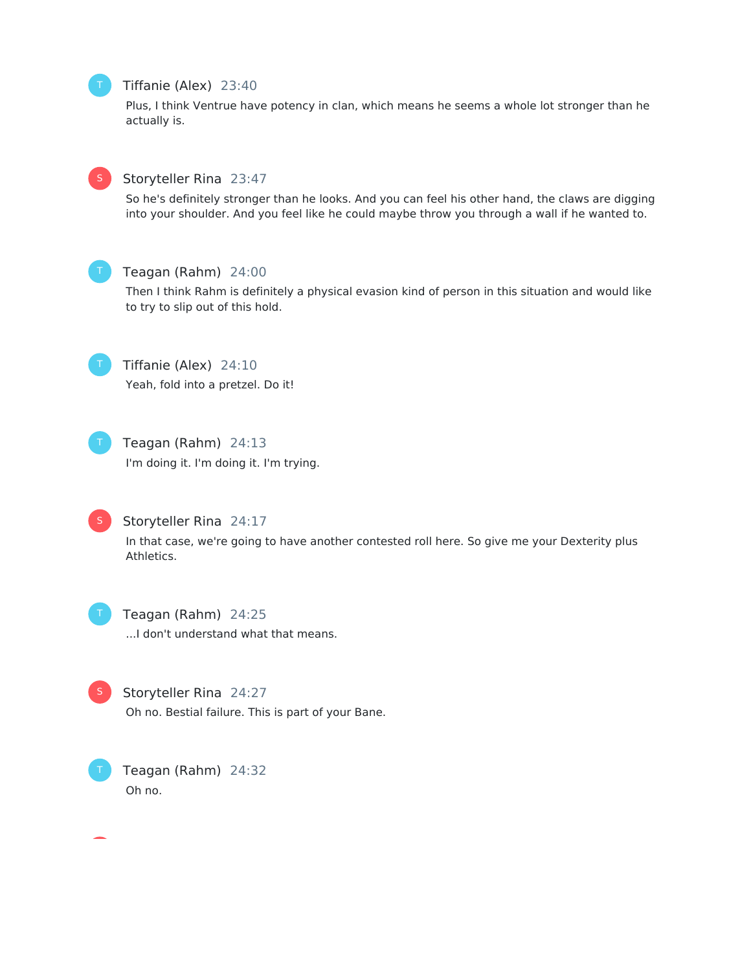# Tiffanie (Alex) 23:40

Plus, I think Ventrue have potency in clan, which means he seems a whole lot stronger than he actually is.



# Storyteller Rina 23:47

So he's definitely stronger than he looks. And you can feel his other hand, the claws are digging into your shoulder. And you feel like he could maybe throw you through a wall if he wanted to.



#### Teagan (Rahm) 24:00

Then I think Rahm is definitely a physical evasion kind of person in this situation and would like to try to slip out of this hold.



Tiffanie (Alex) 24:10 Yeah, fold into a pretzel. Do it!



# Teagan (Rahm) 24:13

I'm doing it. I'm doing it. I'm trying.



# Storyteller Rina 24:17

In that case, we're going to have another contested roll here. So give me your Dexterity plus Athletics.



Teagan (Rahm) 24:25 ...I don't understand what that means.



Storyteller Rina 24:27

Oh no. Bestial failure. This is part of your Bane.



Teagan (Rahm) 24:32 Oh no.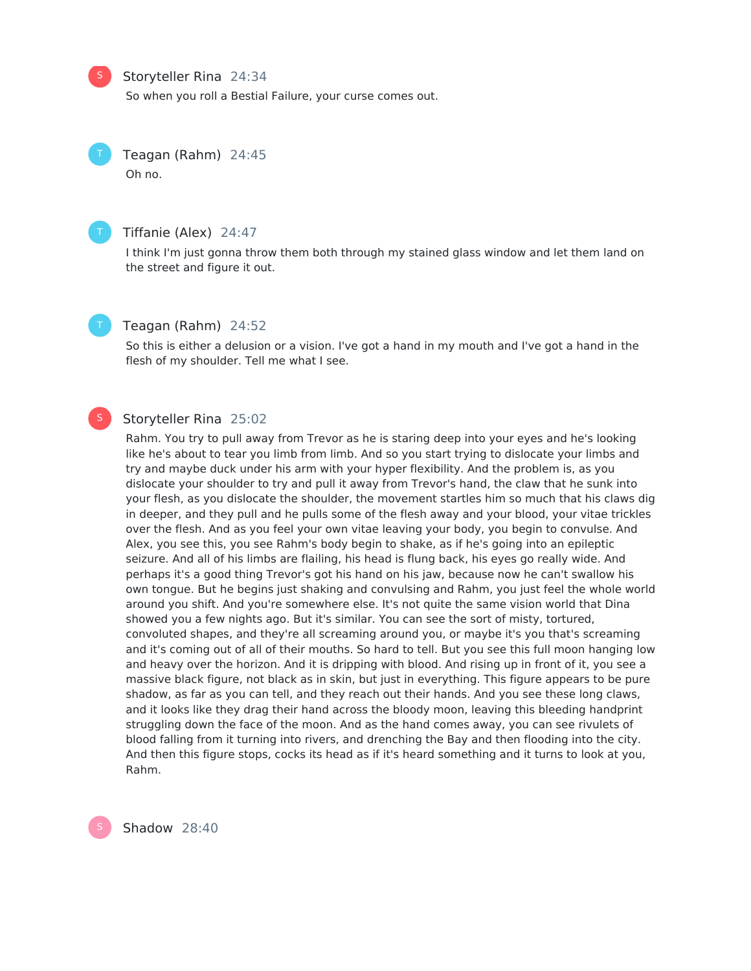## Storyteller Rina 24:34

So when you roll a Bestial Failure, your curse comes out.

Teagan (Rahm) 24:45 Oh no.



S

#### Tiffanie (Alex) 24:47

I think I'm just gonna throw them both through my stained glass window and let them land on the street and figure it out.



#### Teagan (Rahm) 24:52

So this is either a delusion or a vision. I've got a hand in my mouth and I've got a hand in the flesh of my shoulder. Tell me what I see.

#### Storyteller Rina 25:02 S

Rahm. You try to pull away from Trevor as he is staring deep into your eyes and he's looking like he's about to tear you limb from limb. And so you start trying to dislocate your limbs and try and maybe duck under his arm with your hyper flexibility. And the problem is, as you dislocate your shoulder to try and pull it away from Trevor's hand, the claw that he sunk into your flesh, as you dislocate the shoulder, the movement startles him so much that his claws dig in deeper, and they pull and he pulls some of the flesh away and your blood, your vitae trickles over the flesh. And as you feel your own vitae leaving your body, you begin to convulse. And Alex, you see this, you see Rahm's body begin to shake, as if he's going into an epileptic seizure. And all of his limbs are flailing, his head is flung back, his eyes go really wide. And perhaps it's a good thing Trevor's got his hand on his jaw, because now he can't swallow his own tongue. But he begins just shaking and convulsing and Rahm, you just feel the whole world around you shift. And you're somewhere else. It's not quite the same vision world that Dina showed you a few nights ago. But it's similar. You can see the sort of misty, tortured, convoluted shapes, and they're all screaming around you, or maybe it's you that's screaming and it's coming out of all of their mouths. So hard to tell. But you see this full moon hanging low and heavy over the horizon. And it is dripping with blood. And rising up in front of it, you see a massive black figure, not black as in skin, but just in everything. This figure appears to be pure shadow, as far as you can tell, and they reach out their hands. And you see these long claws, and it looks like they drag their hand across the bloody moon, leaving this bleeding handprint struggling down the face of the moon. And as the hand comes away, you can see rivulets of blood falling from it turning into rivers, and drenching the Bay and then flooding into the city. And then this figure stops, cocks its head as if it's heard something and it turns to look at you, Rahm.

Shadow 28:40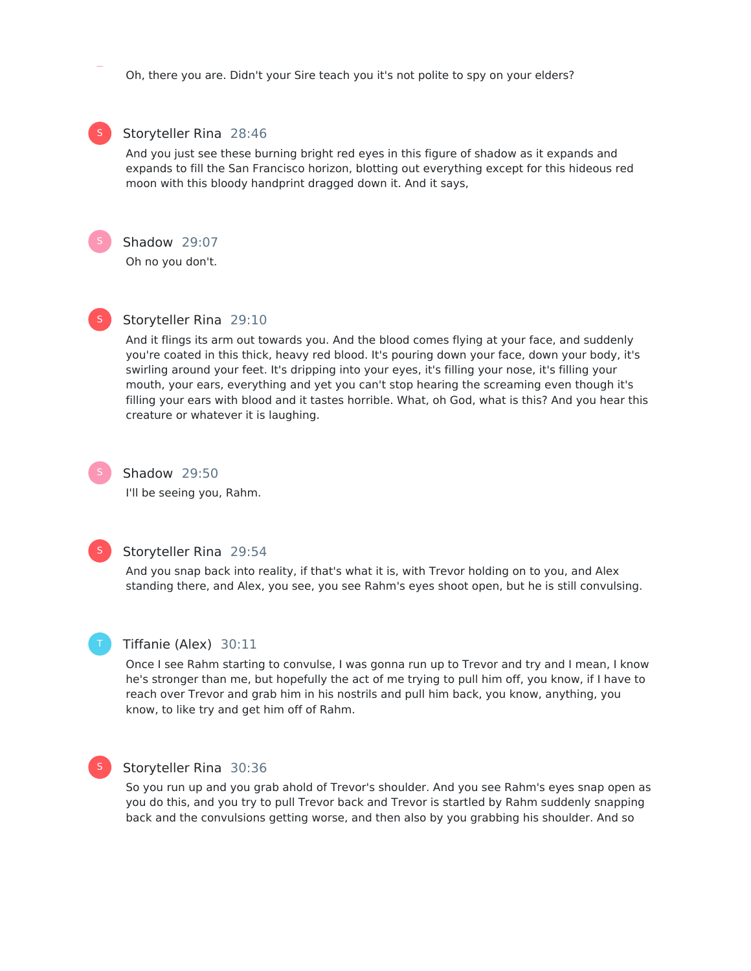Oh, there you are. Didn't your Sire teach you it's not polite to spy on your elders?

# S

# Storyteller Rina 28:46

And you just see these burning bright red eyes in this figure of shadow as it expands and expands to fill the San Francisco horizon, blotting out everything except for this hideous red moon with this bloody handprint dragged down it. And it says,



# Shadow 29:07

Oh no you don't.



# Storyteller Rina 29:10

And it flings its arm out towards you. And the blood comes flying at your face, and suddenly you're coated in this thick, heavy red blood. It's pouring down your face, down your body, it's swirling around your feet. It's dripping into your eyes, it's filling your nose, it's filling your mouth, your ears, everything and yet you can't stop hearing the screaming even though it's filling your ears with blood and it tastes horrible. What, oh God, what is this? And you hear this creature or whatever it is laughing.

# Shadow 29:50

I'll be seeing you, Rahm.



# Storyteller Rina 29:54

And you snap back into reality, if that's what it is, with Trevor holding on to you, and Alex standing there, and Alex, you see, you see Rahm's eyes shoot open, but he is still convulsing.



#### Tiffanie (Alex) 30:11

Once I see Rahm starting to convulse, I was gonna run up to Trevor and try and I mean, I know he's stronger than me, but hopefully the act of me trying to pull him off, you know, if I have to reach over Trevor and grab him in his nostrils and pull him back, you know, anything, you know, to like try and get him off of Rahm.



#### Storyteller Rina 30:36

So you run up and you grab ahold of Trevor's shoulder. And you see Rahm's eyes snap open as you do this, and you try to pull Trevor back and Trevor is startled by Rahm suddenly snapping back and the convulsions getting worse, and then also by you grabbing his shoulder. And so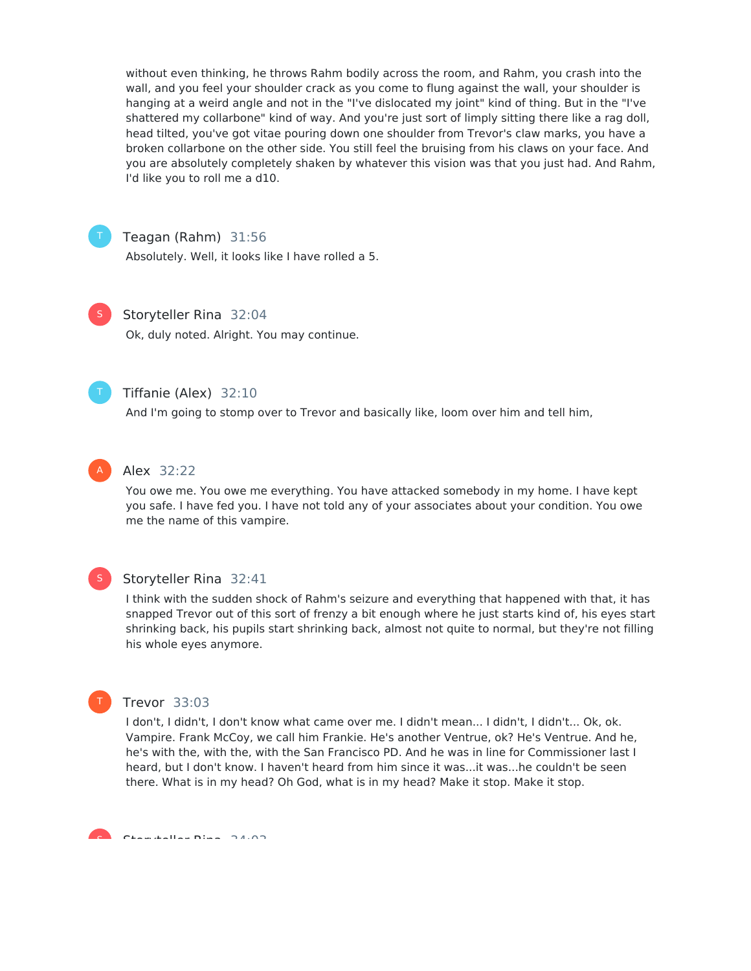without even thinking, he throws Rahm bodily across the room, and Rahm, you crash into the wall, and you feel your shoulder crack as you come to flung against the wall, your shoulder is hanging at a weird angle and not in the "I've dislocated my joint" kind of thing. But in the "I've shattered my collarbone" kind of way. And you're just sort of limply sitting there like a rag doll, head tilted, you've got vitae pouring down one shoulder from Trevor's claw marks, you have a broken collarbone on the other side. You still feel the bruising from his claws on your face. And you are absolutely completely shaken by whatever this vision was that you just had. And Rahm, I'd like you to roll me a d10.



Teagan (Rahm) 31:56

Absolutely. Well, it looks like I have rolled a 5.



#### Storyteller Rina 32:04

Ok, duly noted. Alright. You may continue.



# Tiffanie (Alex) 32:10

And I'm going to stomp over to Trevor and basically like, loom over him and tell him,



#### Alex 32:22

You owe me. You owe me everything. You have attacked somebody in my home. I have kept you safe. I have fed you. I have not told any of your associates about your condition. You owe me the name of this vampire.



#### Storyteller Rina 32:41

I think with the sudden shock of Rahm's seizure and everything that happened with that, it has snapped Trevor out of this sort of frenzy a bit enough where he just starts kind of, his eyes start shrinking back, his pupils start shrinking back, almost not quite to normal, but they're not filling his whole eyes anymore.



#### Trevor 33:03

I don't, I didn't, I don't know what came over me. I didn't mean... I didn't, I didn't... Ok, ok. Vampire. Frank McCoy, we call him Frankie. He's another Ventrue, ok? He's Ventrue. And he, he's with the, with the, with the San Francisco PD. And he was in line for Commissioner last I heard, but I don't know. I haven't heard from him since it was...it was...he couldn't be seen there. What is in my head? Oh God, what is in my head? Make it stop. Make it stop.

Storyteller Rina 34:03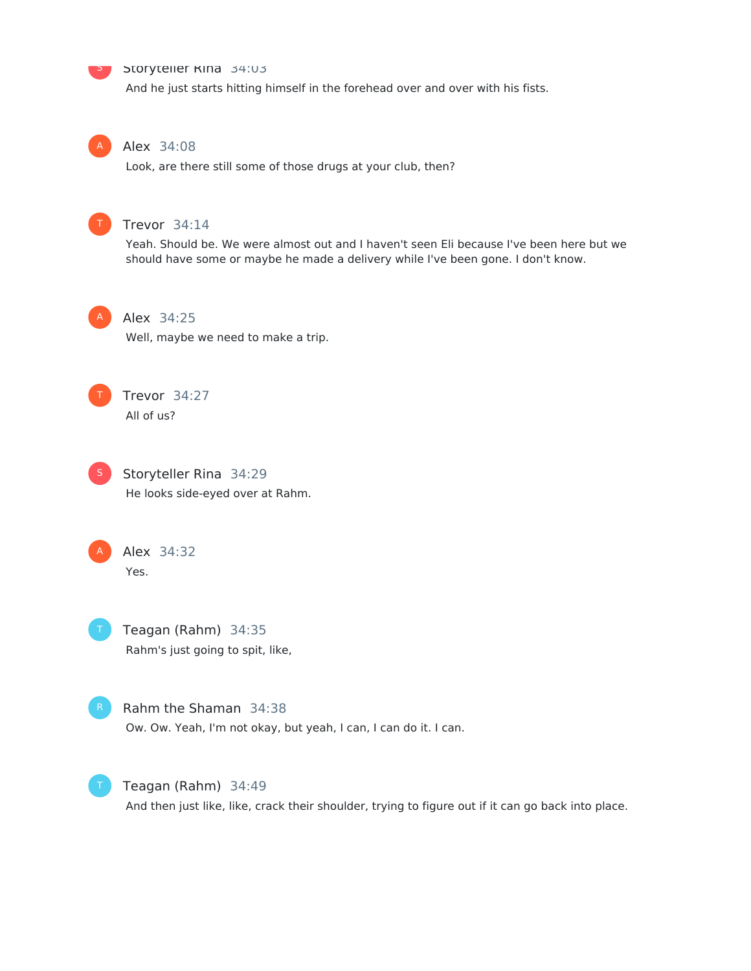# **Storyteller Rina 34:03**

And he just starts hitting himself in the forehead over and over with his fists.

A

S

#### Alex 34:08

Look, are there still some of those drugs at your club, then?



#### Trevor 34:14

Yeah. Should be. We were almost out and I haven't seen Eli because I've been here but we should have some or maybe he made a delivery while I've been gone. I don't know.



# Alex 34:25

Well, maybe we need to make a trip.



# Trevor 34:27

All of us?



**S** Storyteller Rina 34:29 He looks side-eyed over at Rahm.



Alex 34:32 Yes.





Rahm the Shaman 34:38 Ow. Ow. Yeah, I'm not okay, but yeah, I can, I can do it. I can.



Teagan (Rahm) 34:49 And then just like, like, crack their shoulder, trying to figure out if it can go back into place.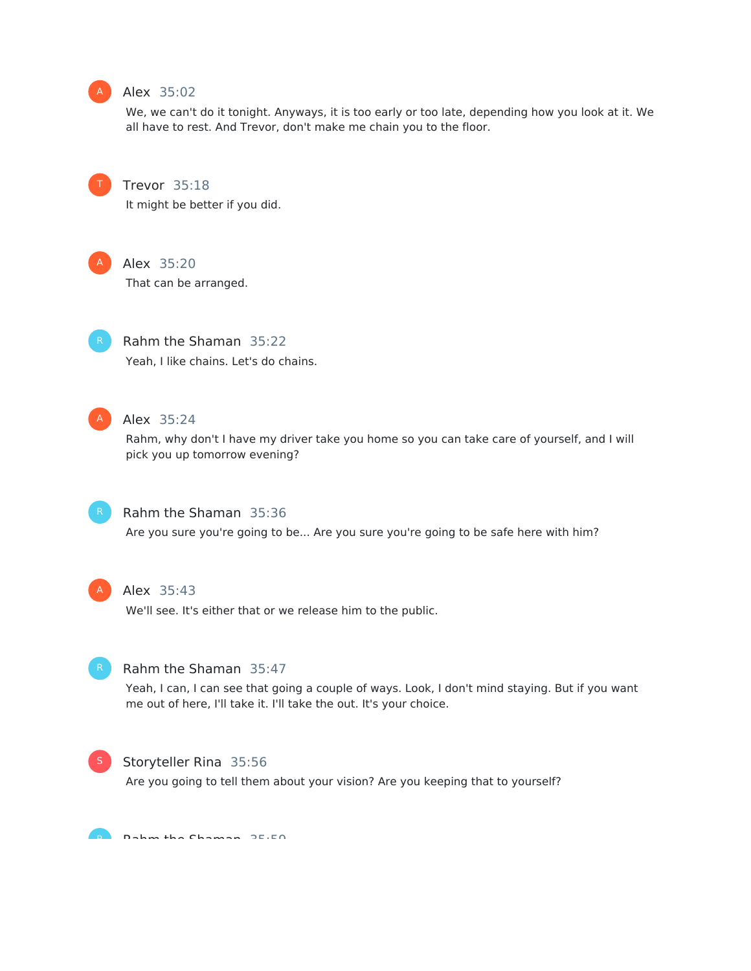

# Alex 35:02

We, we can't do it tonight. Anyways, it is too early or too late, depending how you look at it. We all have to rest. And Trevor, don't make me chain you to the floor.



Trevor 35:18

It might be better if you did.



Alex 35:20

That can be arranged.



Rahm the Shaman 35:22 Yeah, I like chains. Let's do chains.



# Alex 35:24

Rahm, why don't I have my driver take you home so you can take care of yourself, and I will pick you up tomorrow evening?



## Rahm the Shaman 35:36

Are you sure you're going to be... Are you sure you're going to be safe here with him?



#### Alex 35:43

We'll see. It's either that or we release him to the public.



#### Rahm the Shaman 35:47

Yeah, I can, I can see that going a couple of ways. Look, I don't mind staying. But if you want me out of here, I'll take it. I'll take the out. It's your choice.



# Storyteller Rina 35:56

Are you going to tell them about your vision? Are you keeping that to yourself?

Rahm the Chaman 35.50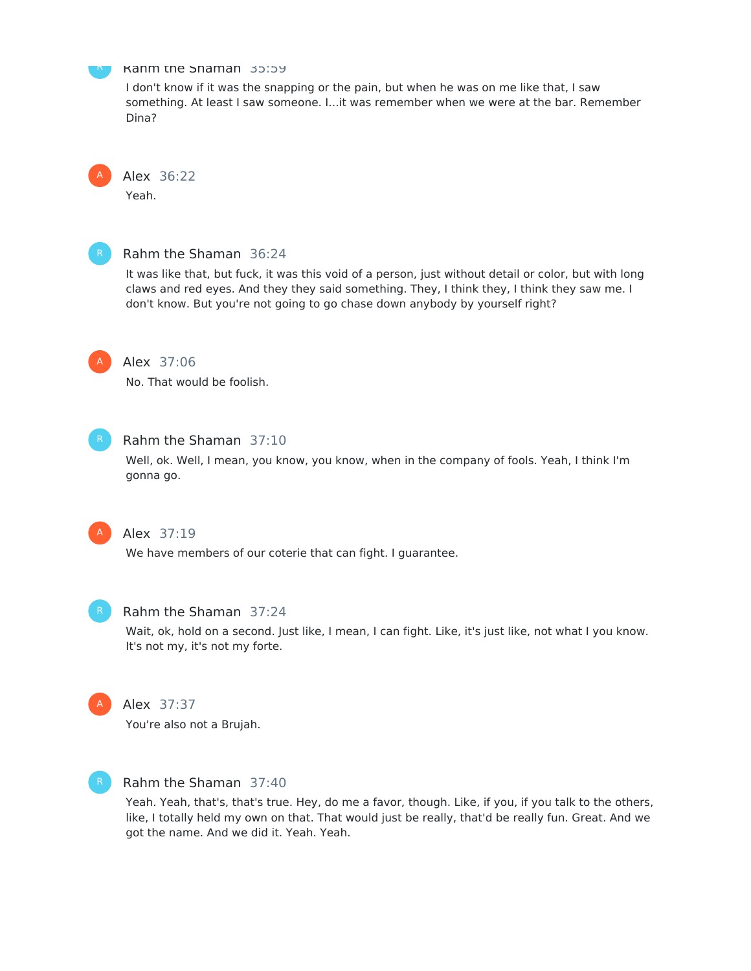

#### Rahm the Shaman 35:59

I don't know if it was the snapping or the pain, but when he was on me like that, I saw something. At least I saw someone. I...it was remember when we were at the bar. Remember Dina?



# Alex 36:22

Yeah.



# Rahm the Shaman 36:24

It was like that, but fuck, it was this void of a person, just without detail or color, but with long claws and red eyes. And they they said something. They, I think they, I think they saw me. I don't know. But you're not going to go chase down anybody by yourself right?



#### Alex 37:06

No. That would be foolish.



#### Rahm the Shaman 37:10

Well, ok. Well, I mean, you know, you know, when in the company of fools. Yeah, I think I'm gonna go.



# Alex 37:19

We have members of our coterie that can fight. I guarantee.



#### Rahm the Shaman 37:24

Wait, ok, hold on a second. Just like, I mean, I can fight. Like, it's just like, not what I you know. It's not my, it's not my forte.



# Alex 37:37

You're also not a Brujah.



# Rahm the Shaman 37:40

Yeah. Yeah, that's, that's true. Hey, do me a favor, though. Like, if you, if you talk to the others, like, I totally held my own on that. That would just be really, that'd be really fun. Great. And we got the name. And we did it. Yeah. Yeah.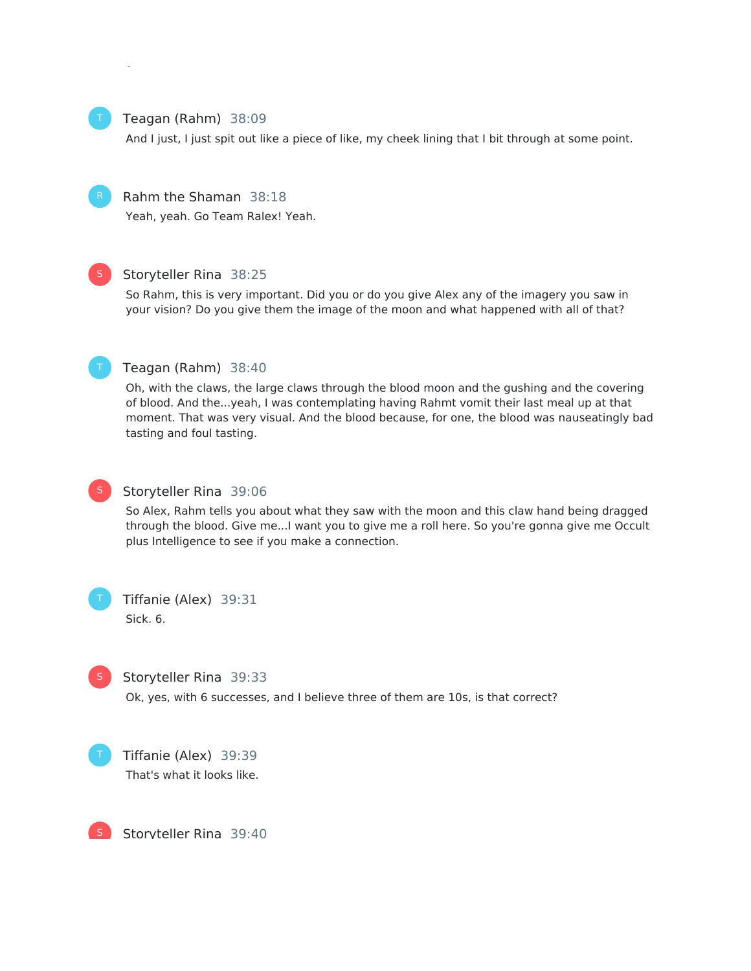

#### Teagan (Rahm) 38:09

And I just, I just spit out like a piece of like, my cheek lining that I bit through at some point.



# Rahm the Shaman 38:18

Yeah, yeah. Go Team Ralex! Yeah.

got the name. And we did it. Yeah. Yeah.



#### Storyteller Rina 38:25

So Rahm, this is very important. Did you or do you give Alex any of the imagery you saw in your vision? Do you give them the image of the moon and what happened with all of that?



#### Teagan (Rahm) 38:40

Oh, with the claws, the large claws through the blood moon and the gushing and the covering of blood. And the...yeah, I was contemplating having Rahmt vomit their last meal up at that moment. That was very visual. And the blood because, for one, the blood was nauseatingly bad tasting and foul tasting.



# Storyteller Rina 39:06

So Alex, Rahm tells you about what they saw with the moon and this claw hand being dragged through the blood. Give me...I want you to give me a roll here. So you're gonna give me Occult plus Intelligence to see if you make a connection.



# Tiffanie (Alex) 39:31 Sick. 6.



#### Storyteller Rina 39:33

Ok, yes, with 6 successes, and I believe three of them are 10s, is that correct?



Tiffanie (Alex) 39:39 That's what it looks like.



Storyteller Rina 39:40